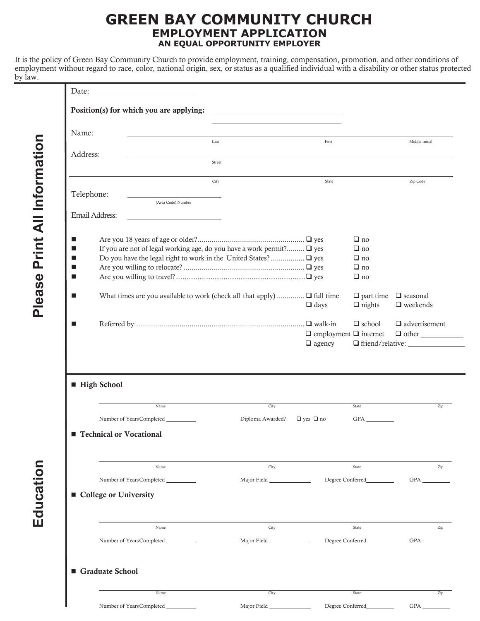## **GREEN BAY COMMUNITY CHURCH EMPLOYMENT APPLICATION AN EQUAL OPPORTUNITY EMPLOYER**

It is the policy of Green Bay Community Church to provide employment, training, compensation, promotion, and other conditions of employment without regard to race, color, national origin, sex, or status as a qualified individual with a disability or other status protected by law.

| Position(s) for which you are applying:                                              | <u> 1989 - Johann Barn, amerikansk politiker (</u> |                                   |                  |                               |
|--------------------------------------------------------------------------------------|----------------------------------------------------|-----------------------------------|------------------|-------------------------------|
|                                                                                      |                                                    |                                   |                  |                               |
| Name:                                                                                |                                                    |                                   |                  |                               |
|                                                                                      | Last                                               | First                             |                  | Middle Initial                |
| Address:                                                                             |                                                    |                                   |                  |                               |
|                                                                                      | Street                                             |                                   |                  |                               |
|                                                                                      |                                                    |                                   |                  |                               |
|                                                                                      | City                                               | State                             |                  | Zip Code                      |
| Telephone:                                                                           |                                                    |                                   |                  |                               |
| (Area Code) Number                                                                   |                                                    |                                   |                  |                               |
| Email Address:                                                                       |                                                    |                                   |                  |                               |
|                                                                                      |                                                    |                                   |                  |                               |
|                                                                                      |                                                    |                                   | $\Box$ no        |                               |
| If you are not of legal working age, do you have a work permit? □ yes                |                                                    |                                   | $\Box$ no        |                               |
|                                                                                      |                                                    |                                   | $\Box$ no        |                               |
|                                                                                      |                                                    |                                   | $\Box$ no        |                               |
| ■                                                                                    |                                                    |                                   | $\Box$ no        |                               |
|                                                                                      |                                                    |                                   |                  |                               |
| What times are you available to work (check all that apply) $\square$ full time<br>▉ |                                                    |                                   | $\Box$ part time | $\hfill\Box$ seasonal         |
|                                                                                      |                                                    | $\Box$ days                       | $\Box$ nights    | $\hfill\blacksquare$ weekends |
|                                                                                      |                                                    |                                   |                  |                               |
| ■                                                                                    |                                                    |                                   | $\Box$ school    | $\hfill\Box$ advertisement    |
|                                                                                      |                                                    | $\Box$ employment $\Box$ internet |                  | $\Box$ other                  |
|                                                                                      |                                                    | $\Box$ agency                     |                  |                               |
|                                                                                      |                                                    |                                   |                  |                               |
| <b>High School</b>                                                                   |                                                    |                                   |                  |                               |
| Name                                                                                 | City                                               |                                   | State            |                               |
| Number of Years Completed                                                            | Diploma Awarded?                                   | $\Box$ yes $\Box$ no              | GPA              | Triend/relative:<br>Zip       |
|                                                                                      |                                                    |                                   |                  |                               |
| <b>Technical or Vocational</b>                                                       |                                                    |                                   |                  |                               |
|                                                                                      |                                                    |                                   |                  |                               |
| Name                                                                                 | City                                               |                                   | State            |                               |
| Number of YearsCompleted                                                             |                                                    |                                   | Degree Conferred | $GPA$ <sub>___</sub>          |
|                                                                                      |                                                    |                                   |                  |                               |
|                                                                                      |                                                    |                                   |                  |                               |
| ■ College or University                                                              |                                                    |                                   |                  |                               |
| Name                                                                                 | City                                               |                                   | State            | Zip<br>Zip                    |
| Number of Years Completed                                                            |                                                    |                                   | Degree Conferred |                               |
|                                                                                      |                                                    |                                   |                  |                               |
|                                                                                      |                                                    |                                   |                  |                               |
| Graduate School<br>Name                                                              | City                                               |                                   | State            | Zip                           |

**Education Please Print All Information**

Education

Please Print All Information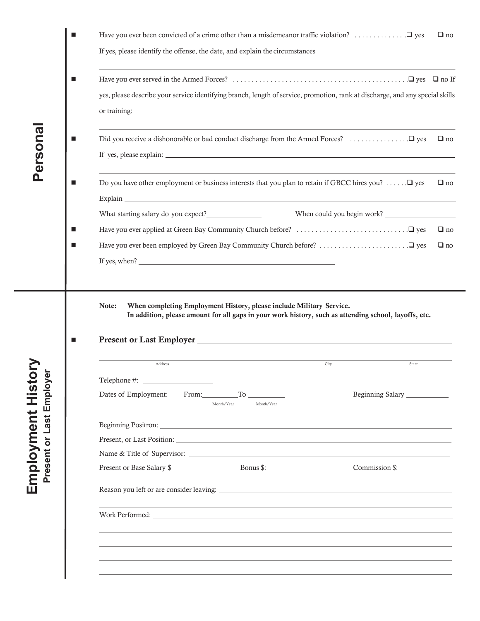|                     | ■                | $\Box$ no                                                                                                                                                                                                                                               |  |
|---------------------|------------------|---------------------------------------------------------------------------------------------------------------------------------------------------------------------------------------------------------------------------------------------------------|--|
|                     |                  | If yes, please identify the offense, the date, and explain the circumstances                                                                                                                                                                            |  |
|                     | п                | <u> 1989 - Johann Stoff, deutscher Stoffen und der Stoffen und der Stoffen und der Stoffen und der Stoffen und der</u><br>yes, please describe your service identifying branch, length of service, promotion, rank at discharge, and any special skills |  |
| Persona             | <b>The State</b> | $\Box$ no                                                                                                                                                                                                                                               |  |
|                     | ш                | Do you have other employment or business interests that you plan to retain if GBCC hires you? $\Box$ yes<br>$\Box$ no                                                                                                                                   |  |
|                     |                  | When could you begin work?                                                                                                                                                                                                                              |  |
|                     | п                | $\Box$ no                                                                                                                                                                                                                                               |  |
|                     |                  | $\Box$ no                                                                                                                                                                                                                                               |  |
|                     | ш                | When completing Employment History, please include Military Service.<br>Note:<br>In addition, please amount for all gaps in your work history, such as attending school, layoffs, etc.                                                                  |  |
|                     |                  | Address<br>City<br>State                                                                                                                                                                                                                                |  |
| Hist<br>H<br>Employ |                  | Telephone #: _<br>Dates of Employment: From: To<br>Beginning Salary ____________<br>Month/Year<br>Month/Year                                                                                                                                            |  |
| Employment<br>Last  |                  |                                                                                                                                                                                                                                                         |  |
|                     |                  |                                                                                                                                                                                                                                                         |  |
|                     |                  |                                                                                                                                                                                                                                                         |  |
| Present or          |                  | Present or Base Salary \$<br>Commission \$:                                                                                                                                                                                                             |  |
|                     |                  |                                                                                                                                                                                                                                                         |  |
|                     |                  |                                                                                                                                                                                                                                                         |  |
|                     |                  |                                                                                                                                                                                                                                                         |  |
|                     |                  |                                                                                                                                                                                                                                                         |  |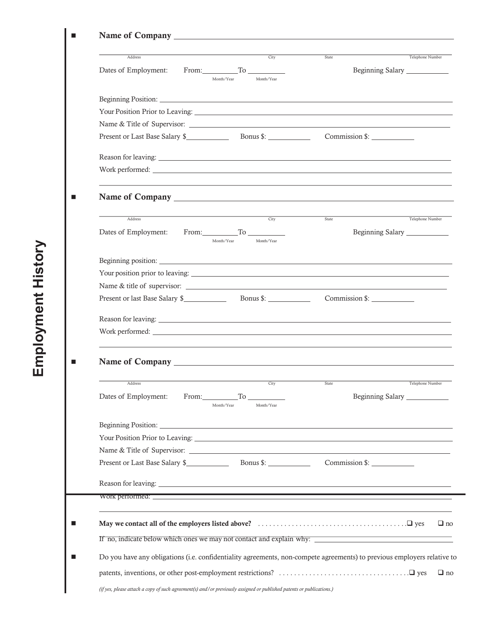| Citv<br>Address                                                                                                                                                                                                                | Telephone Number<br>State             |
|--------------------------------------------------------------------------------------------------------------------------------------------------------------------------------------------------------------------------------|---------------------------------------|
| Dates of Employment:<br>$From: \underline{\hspace{1cm}}$ To $\underline{\hspace{1cm}}$                                                                                                                                         | Beginning Salary                      |
| Month/Year<br>Month/Year                                                                                                                                                                                                       |                                       |
| Beginning Position: National Communication of the Communication of the Communication of the Communication of the Communication of the Communication of the Communication of the Communication of the Communication of the Comm |                                       |
| Your Position Prior to Leaving:                                                                                                                                                                                                |                                       |
| Name & Title of Supervisor:                                                                                                                                                                                                    |                                       |
|                                                                                                                                                                                                                                | Commission \$:                        |
|                                                                                                                                                                                                                                |                                       |
|                                                                                                                                                                                                                                |                                       |
|                                                                                                                                                                                                                                |                                       |
|                                                                                                                                                                                                                                |                                       |
| City<br>Address                                                                                                                                                                                                                | Telephone Number<br>State             |
| From: $\qquad \qquad$ To $\qquad \qquad$<br>Dates of Employment:                                                                                                                                                               | Beginning Salary                      |
| Month/Year<br>Month/Year                                                                                                                                                                                                       |                                       |
|                                                                                                                                                                                                                                |                                       |
|                                                                                                                                                                                                                                |                                       |
| Name & title of supervisor:                                                                                                                                                                                                    |                                       |
|                                                                                                                                                                                                                                | Commission \$:                        |
|                                                                                                                                                                                                                                |                                       |
|                                                                                                                                                                                                                                |                                       |
|                                                                                                                                                                                                                                |                                       |
|                                                                                                                                                                                                                                |                                       |
| Address                                                                                                                                                                                                                        | <u>City State</u><br>Telephone Number |
| Dates of Employment:<br>From: To To                                                                                                                                                                                            | Beginning Salary                      |
| Month/Year<br>Month/Year                                                                                                                                                                                                       |                                       |
|                                                                                                                                                                                                                                |                                       |
| Your Position Prior to Leaving: North American State of American State of American State of American State of American State of American State of American State of American State of American State of American State of Amer |                                       |
|                                                                                                                                                                                                                                |                                       |
| Present or Last Base Salary \$ Bonus \$: Commission \$: ____________________________                                                                                                                                           |                                       |
| Reason for leaving: Leaving: Leaving: Leaving: Leaving: Leaving: Leaving: Leaving: Leaving: Leaving: Leaving: Leaving: Leaving: Leaving: Leaving: Leaving: Leaving: Leaving: Leaving: Leaving: Leaving: Leaving: Leaving: Leav |                                       |
|                                                                                                                                                                                                                                |                                       |
|                                                                                                                                                                                                                                |                                       |
|                                                                                                                                                                                                                                |                                       |
|                                                                                                                                                                                                                                |                                       |
| If no, indicate below which ones we may not contact and explain why:                                                                                                                                                           |                                       |
| Do you have any obligations (i.e. confidentiality agreements, non-compete agreements) to previous employers relative to                                                                                                        |                                       |

*(if yes, please attach a copy of such agreement(s) and/or previously assigned or published patents or publications.)*